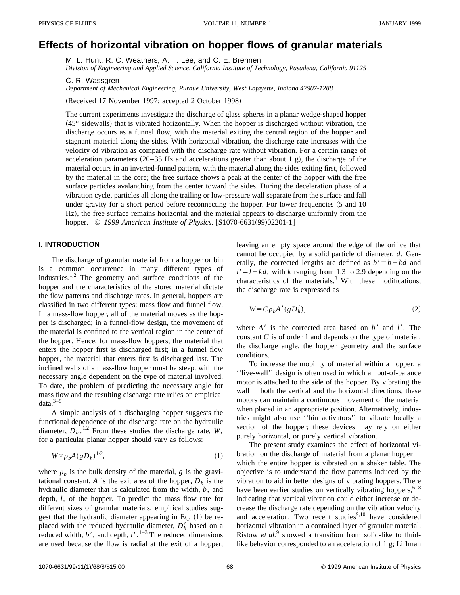# **Effects of horizontal vibration on hopper flows of granular materials**

M. L. Hunt, R. C. Weathers, A. T. Lee, and C. E. Brennen

*Division of Engineering and Applied Science, California Institute of Technology, Pasadena, California 91125*

C. R. Wassgren

*Department of Mechanical Engineering, Purdue University, West Lafayette, Indiana 47907-1288*

(Received 17 November 1997; accepted 2 October 1998)

The current experiments investigate the discharge of glass spheres in a planar wedge-shaped hopper  $(45^\circ \text{sidewalls})$  that is vibrated horizontally. When the hopper is discharged without vibration, the discharge occurs as a funnel flow, with the material exiting the central region of the hopper and stagnant material along the sides. With horizontal vibration, the discharge rate increases with the velocity of vibration as compared with the discharge rate without vibration. For a certain range of acceleration parameters  $(20-35 \text{ Hz})$  and accelerations greater than about 1 g), the discharge of the material occurs in an inverted-funnel pattern, with the material along the sides exiting first, followed by the material in the core; the free surface shows a peak at the center of the hopper with the free surface particles avalanching from the center toward the sides. During the deceleration phase of a vibration cycle, particles all along the trailing or low-pressure wall separate from the surface and fall under gravity for a short period before reconnecting the hopper. For lower frequencies  $(5 \text{ and } 10 \text{)}$ Hz), the free surface remains horizontal and the material appears to discharge uniformly from the hopper. © 1999 American Institute of Physics. [S1070-6631(99)02201-1]

## **I. INTRODUCTION**

The discharge of granular material from a hopper or bin is a common occurrence in many different types of industries.<sup>1,2</sup> The geometry and surface conditions of the hopper and the characteristics of the stored material dictate the flow patterns and discharge rates. In general, hoppers are classified in two different types: mass flow and funnel flow. In a mass-flow hopper, all of the material moves as the hopper is discharged; in a funnel-flow design, the movement of the material is confined to the vertical region in the center of the hopper. Hence, for mass-flow hoppers, the material that enters the hopper first is discharged first; in a funnel flow hopper, the material that enters first is discharged last. The inclined walls of a mass-flow hopper must be steep, with the necessary angle dependent on the type of material involved. To date, the problem of predicting the necessary angle for mass flow and the resulting discharge rate relies on empirical data. $3-5$ 

A simple analysis of a discharging hopper suggests the functional dependence of the discharge rate on the hydraulic diameter,  $D_h$ <sup>1,2</sup> From these studies the discharge rate, *W*, for a particular planar hopper should vary as follows:

$$
W \propto \rho_b A (g D_h)^{1/2},\tag{1}
$$

where  $\rho_b$  is the bulk density of the material, *g* is the gravitational constant, *A* is the exit area of the hopper,  $D_h$  is the hydraulic diameter that is calculated from the width, *b*, and depth, *l*, of the hopper. To predict the mass flow rate for different sizes of granular materials, empirical studies suggest that the hydraulic diameter appearing in Eq.  $(1)$  be replaced with the reduced hydraulic diameter,  $D_h$  based on a reduced width,  $b'$ , and depth,  $l'$ .<sup>1–3</sup> The reduced dimensions are used because the flow is radial at the exit of a hopper, leaving an empty space around the edge of the orifice that cannot be occupied by a solid particle of diameter, *d*. Generally, the corrected lengths are defined as  $b' = b - kd$  and  $l' = l - kd$ , with *k* ranging from 1.3 to 2.9 depending on the characteristics of the materials. $3$  With these modifications, the discharge rate is expressed as

$$
W = C \rho_b A' (g D'_h), \tag{2}
$$

where  $A'$  is the corrected area based on  $b'$  and  $l'$ . The constant *C* is of order 1 and depends on the type of material, the discharge angle, the hopper geometry and the surface conditions.

To increase the mobility of material within a hopper, a ''live-wall'' design is often used in which an out-of-balance motor is attached to the side of the hopper. By vibrating the wall in both the vertical and the horizontal directions, these motors can maintain a continuous movement of the material when placed in an appropriate position. Alternatively, industries might also use ''bin activators'' to vibrate locally a section of the hopper; these devices may rely on either purely horizontal, or purely vertical vibration.

The present study examines the effect of horizontal vibration on the discharge of material from a planar hopper in which the entire hopper is vibrated on a shaker table. The objective is to understand the flow patterns induced by the vibration to aid in better designs of vibrating hoppers. There have been earlier studies on vertically vibrating hoppers,  $6-8$ indicating that vertical vibration could either increase or decrease the discharge rate depending on the vibration velocity and acceleration. Two recent studies<sup>9,10</sup> have considered horizontal vibration in a contained layer of granular material. Ristow *et al.*<sup>9</sup> showed a transition from solid-like to fluidlike behavior corresponded to an acceleration of 1 g; Liffman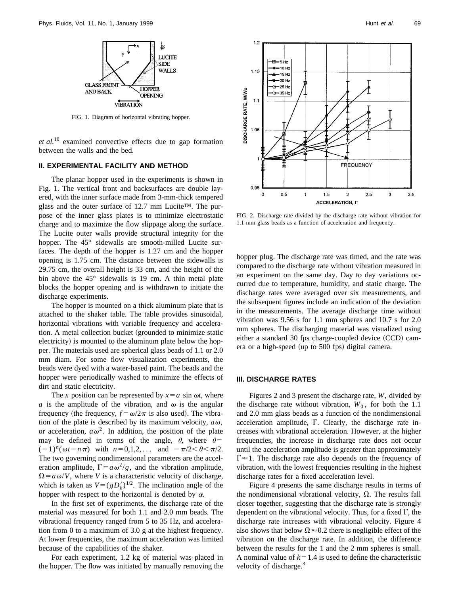

FIG. 1. Diagram of horizontal vibrating hopper.

*et al.*<sup>10</sup> examined convective effects due to gap formation between the walls and the bed.

### **II. EXPERIMENTAL FACILITY AND METHOD**

The planar hopper used in the experiments is shown in Fig. 1. The vertical front and backsurfaces are double layered, with the inner surface made from 3-mm-thick tempered glass and the outer surface of 12.7 mm Lucite™. The purpose of the inner glass plates is to minimize electrostatic charge and to maximize the flow slippage along the surface. The Lucite outer walls provide structural integrity for the hopper. The 45° sidewalls are smooth-milled Lucite surfaces. The depth of the hopper is 1.27 cm and the hopper opening is 1.75 cm. The distance between the sidewalls is 29.75 cm, the overall height is 33 cm, and the height of the bin above the 45° sidewalls is 19 cm. A thin metal plate blocks the hopper opening and is withdrawn to initiate the discharge experiments.

The hopper is mounted on a thick aluminum plate that is attached to the shaker table. The table provides sinusoidal, horizontal vibrations with variable frequency and acceleration. A metal collection bucket (grounded to minimize static electricity) is mounted to the aluminum plate below the hopper. The materials used are spherical glass beads of 1.1 or 2.0 mm diam. For some flow visualization experiments, the beads were dyed with a water-based paint. The beads and the hopper were periodically washed to minimize the effects of dirt and static electricity.

The *x* position can be represented by  $x = a \sin \omega t$ , where *a* is the amplitude of the vibration, and  $\omega$  is the angular frequency (the frequency,  $f = \omega/2\pi$  is also used). The vibration of the plate is described by its maximum velocity,  $a\omega$ , or acceleration,  $a\omega^2$ . In addition, the position of the plate may be defined in terms of the angle,  $\theta$ , where  $\theta$ =  $(-1)^n(\omega t - n\pi)$  with  $n=0,1,2,...$  and  $-\pi/2 < \theta < \pi/2$ . The two governing nondimensional parameters are the acceleration amplitude,  $\Gamma = a\omega^2/g$ , and the vibration amplitude,  $\Omega = a \omega/V$ , where *V* is a characteristic velocity of discharge, which is taken as  $V = (gD_h')^{1/2}$ . The inclination angle of the hopper with respect to the horizontal is denoted by  $\alpha$ .

In the first set of experiments, the discharge rate of the material was measured for both 1.1 and 2.0 mm beads. The vibrational frequency ranged from 5 to 35 Hz, and acceleration from 0 to a maximum of 3.0 g at the highest frequency. At lower frequencies, the maximum acceleration was limited because of the capabilities of the shaker.

For each experiment, 1.2 kg of material was placed in the hopper. The flow was initiated by manually removing the



FIG. 2. Discharge rate divided by the discharge rate without vibration for 1.1 mm glass beads as a function of acceleration and frequency.

hopper plug. The discharge rate was timed, and the rate was compared to the discharge rate without vibration measured in an experiment on the same day. Day to day variations occurred due to temperature, humidity, and static charge. The discharge rates were averaged over six measurements, and the subsequent figures include an indication of the deviation in the measurements. The average discharge time without vibration was 9.56 s for 1.1 mm spheres and 10.7 s for 2.0 mm spheres. The discharging material was visualized using either a standard 30 fps charge-coupled device  $(CCD)$  camera or a high-speed (up to 500 fps) digital camera.

#### **III. DISCHARGE RATES**

Figures 2 and 3 present the discharge rate, *W*, divided by the discharge rate without vibration,  $W_0$ , for both the 1.1 and 2.0 mm glass beads as a function of the nondimensional acceleration amplitude,  $\Gamma$ . Clearly, the discharge rate increases with vibrational acceleration. However, at the higher frequencies, the increase in discharge rate does not occur until the acceleration amplitude is greater than approximately  $\Gamma \approx 1$ . The discharge rate also depends on the frequency of vibration, with the lowest frequencies resulting in the highest discharge rates for a fixed acceleration level.

Figure 4 presents the same discharge results in terms of the nondimensional vibrational velocity,  $\Omega$ . The results fall closer together, suggesting that the discharge rate is strongly dependent on the vibrational velocity. Thus, for a fixed  $\Gamma$ , the discharge rate increases with vibrational velocity. Figure 4 also shows that below  $\Omega \approx 0.2$  there is negligible effect of the vibration on the discharge rate. In addition, the difference between the results for the 1 and the 2 mm spheres is small. A nominal value of  $k=1.4$  is used to define the characteristic velocity of discharge.<sup>3</sup>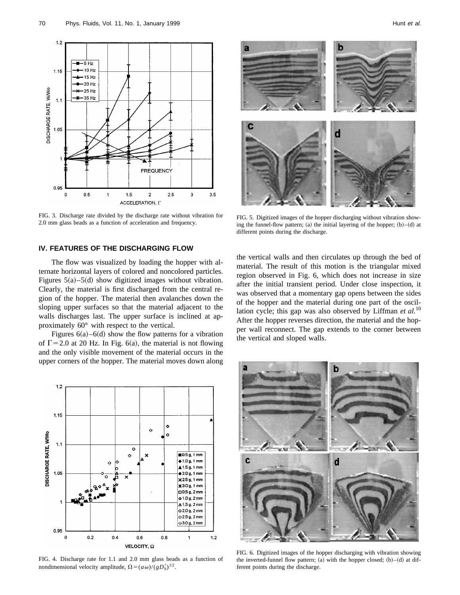

FIG. 3. Discharge rate divided by the discharge rate without vibration for 2.0 mm glass beads as a function of acceleration and frequency.

## **IV. FEATURES OF THE DISCHARGING FLOW**

The flow was visualized by loading the hopper with alternate horizontal layers of colored and noncolored particles. Figures  $5(a)$ – $5(d)$  show digitized images without vibration. Clearly, the material is first discharged from the central region of the hopper. The material then avalanches down the sloping upper surfaces so that the material adjacent to the walls discharges last. The upper surface is inclined at approximately 60° with respect to the vertical.

Figures  $6(a)$ –6(d) show the flow patterns for a vibration of  $\Gamma$  = 2.0 at 20 Hz. In Fig. 6(a), the material is not flowing and the only visible movement of the material occurs in the upper corners of the hopper. The material moves down along



FIG. 4. Discharge rate for 1.1 and 2.0 mm glass beads as a function of nondimensional velocity amplitude,  $\Omega = (a\omega)/(gD_h^{\dagger})^{1/2}$ .



FIG. 5. Digitized images of the hopper discharging without vibration showing the funnel-flow pattern; (a) the initial layering of the hopper;  $(b)-(d)$  at different points during the discharge.

the vertical walls and then circulates up through the bed of material. The result of this motion is the triangular mixed region observed in Fig. 6, which does not increase in size after the initial transient period. Under close inspection, it was observed that a momentary gap opens between the sides of the hopper and the material during one part of the oscillation cycle; this gap was also observed by Liffman *et al.*<sup>10</sup> After the hopper reverses direction, the material and the hopper wall reconnect. The gap extends to the corner between the vertical and sloped walls.



FIG. 6. Digitized images of the hopper discharging with vibration showing the inverted-funnel flow pattern; (a) with the hopper closed;  $(b)$ – $(d)$  at different points during the discharge.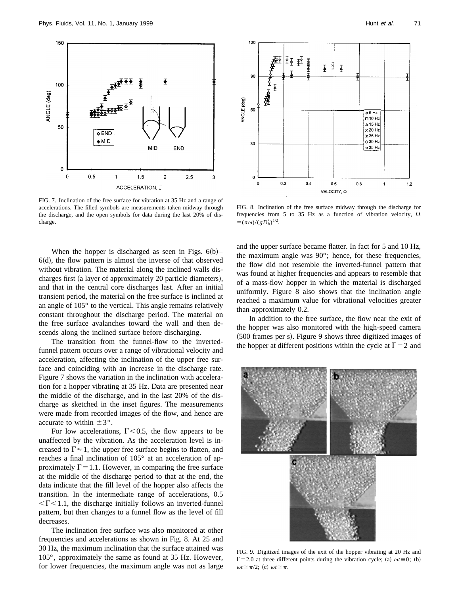

FIG. 7. Inclination of the free surface for vibration at 35 Hz and a range of accelerations. The filled symbols are measurements taken midway through the discharge, and the open symbols for data during the last 20% of discharge.

When the hopper is discharged as seen in Figs.  $6(b)$ –  $6(d)$ , the flow pattern is almost the inverse of that observed without vibration. The material along the inclined walls discharges first (a layer of approximately 20 particle diameters), and that in the central core discharges last. After an initial transient period, the material on the free surface is inclined at an angle of 105° to the vertical. This angle remains relatively constant throughout the discharge period. The material on the free surface avalanches toward the wall and then descends along the inclined surface before discharging.

The transition from the funnel-flow to the invertedfunnel pattern occurs over a range of vibrational velocity and acceleration, affecting the inclination of the upper free surface and coinciding with an increase in the discharge rate. Figure 7 shows the variation in the inclination with acceleration for a hopper vibrating at 35 Hz. Data are presented near the middle of the discharge, and in the last 20% of the discharge as sketched in the inset figures. The measurements were made from recorded images of the flow, and hence are accurate to within  $\pm 3^{\circ}$ .

For low accelerations,  $\Gamma$  < 0.5, the flow appears to be unaffected by the vibration. As the acceleration level is increased to  $\Gamma \approx 1$ , the upper free surface begins to flatten, and reaches a final inclination of 105° at an acceleration of approximately  $\Gamma$  = 1.1. However, in comparing the free surface at the middle of the discharge period to that at the end, the data indicate that the fill level of the hopper also affects the transition. In the intermediate range of accelerations, 0.5  $\langle$   $\Gamma$  < 1.1, the discharge initially follows an inverted-funnel pattern, but then changes to a funnel flow as the level of fill decreases.

The inclination free surface was also monitored at other frequencies and accelerations as shown in Fig. 8. At 25 and 30 Hz, the maximum inclination that the surface attained was 105°, approximately the same as found at 35 Hz. However, for lower frequencies, the maximum angle was not as large



FIG. 8. Inclination of the free surface midway through the discharge for frequencies from 5 to 35 Hz as a function of vibration velocity,  $\Omega$  $=(a\omega)/(gD_h')^{1/2}.$ 

and the upper surface became flatter. In fact for 5 and 10 Hz, the maximum angle was 90°; hence, for these frequencies, the flow did not resemble the inverted-funnel pattern that was found at higher frequencies and appears to resemble that of a mass-flow hopper in which the material is discharged uniformly. Figure 8 also shows that the inclination angle reached a maximum value for vibrational velocities greater than approximately 0.2.

In addition to the free surface, the flow near the exit of the hopper was also monitored with the high-speed camera  $(500$  frames per s). Figure 9 shows three digitized images of the hopper at different positions within the cycle at  $\Gamma = 2$  and



FIG. 9. Digitized images of the exit of the hopper vibrating at 20 Hz and  $\Gamma$ =2.0 at three different points during the vibration cycle; (a)  $\omega t \approx 0$ ; (b)  $\omega t \approx \pi/2$ ; (c)  $\omega t \approx \pi$ .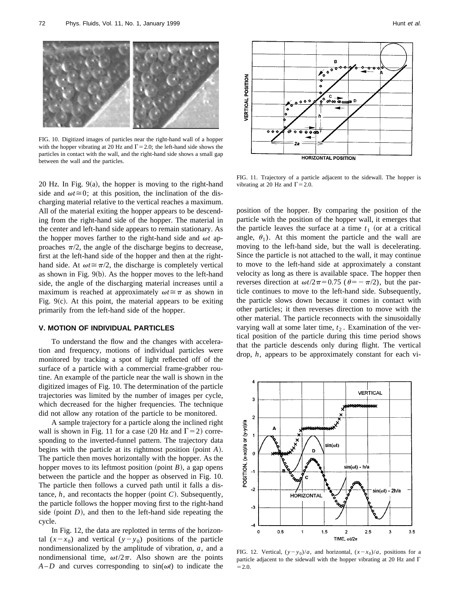

FIG. 10. Digitized images of particles near the right-hand wall of a hopper with the hopper vibrating at 20 Hz and  $\Gamma$  = 2.0; the left-hand side shows the particles in contact with the wall, and the right-hand side shows a small gap between the wall and the particles.

20 Hz. In Fig.  $9(a)$ , the hopper is moving to the right-hand side and  $\omega t \approx 0$ ; at this position, the inclination of the discharging material relative to the vertical reaches a maximum. All of the material exiting the hopper appears to be descending from the right-hand side of the hopper. The material in the center and left-hand side appears to remain stationary. As the hopper moves farther to the right-hand side and  $\omega t$  approaches  $\pi/2$ , the angle of the discharge begins to decrease, first at the left-hand side of the hopper and then at the righthand side. At  $\omega t \approx \pi/2$ , the discharge is completely vertical as shown in Fig.  $9(b)$ . As the hopper moves to the left-hand side, the angle of the discharging material increases until a maximum is reached at approximately  $\omega t \approx \pi$  as shown in Fig.  $9(c)$ . At this point, the material appears to be exiting primarily from the left-hand side of the hopper.

### **V. MOTION OF INDIVIDUAL PARTICLES**

To understand the flow and the changes with acceleration and frequency, motions of individual particles were monitored by tracking a spot of light reflected off of the surface of a particle with a commercial frame-grabber routine. An example of the particle near the wall is shown in the digitized images of Fig. 10. The determination of the particle trajectories was limited by the number of images per cycle, which decreased for the higher frequencies. The technique did not allow any rotation of the particle to be monitored.

A sample trajectory for a particle along the inclined right wall is shown in Fig. 11 for a case (20 Hz and  $\Gamma$ =2) corresponding to the inverted-funnel pattern. The trajectory data begins with the particle at its rightmost position (point  $A$ ). The particle then moves horizontally with the hopper. As the hopper moves to its leftmost position (point  $B$ ), a gap opens between the particle and the hopper as observed in Fig. 10. The particle then follows a curved path until it falls a distance,  $h$ , and recontacts the hopper (point  $C$ ). Subsequently, the particle follows the hopper moving first to the right-hand side (point  $D$ ), and then to the left-hand side repeating the cycle.

In Fig. 12, the data are replotted in terms of the horizontal  $(x-x_0)$  and vertical  $(y-y_0)$  positions of the particle nondimensionalized by the amplitude of vibration, *a*, and a nondimensional time,  $\omega t / 2\pi$ . Also shown are the points  $A-D$  and curves corresponding to  $sin(\omega t)$  to indicate the



FIG. 11. Trajectory of a particle adjacent to the sidewall. The hopper is vibrating at 20 Hz and  $\Gamma$  = 2.0.

position of the hopper. By comparing the position of the particle with the position of the hopper wall, it emerges that the particle leaves the surface at a time  $t_1$  (or at a critical angle,  $\theta_1$ ). At this moment the particle and the wall are moving to the left-hand side, but the wall is decelerating. Since the particle is not attached to the wall, it may continue to move to the left-hand side at approximately a constant velocity as long as there is available space. The hopper then reverses direction at  $\omega t / 2\pi = 0.75$  ( $\theta = -\pi/2$ ), but the particle continues to move to the left-hand side. Subsequently, the particle slows down because it comes in contact with other particles; it then reverses direction to move with the other material. The particle reconnects with the sinusoidally varying wall at some later time,  $t<sub>2</sub>$ . Examination of the vertical position of the particle during this time period shows that the particle descends only during flight. The vertical drop, *h*, appears to be approximately constant for each vi-



FIG. 12. Vertical,  $(y - y_0)/a$ , and horizontal,  $(x - x_0)/a$ , positions for a particle adjacent to the sidewall with the hopper vibrating at 20 Hz and  $\Gamma$  $=2.0.$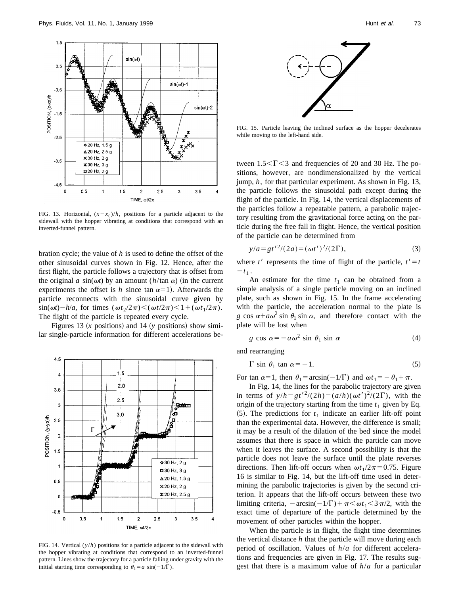

FIG. 13. Horizontal,  $(x-x_0)/h$ , positions for a particle adjacent to the sidewall with the hopper vibrating at conditions that correspond with an inverted-funnel pattern.

bration cycle; the value of *h* is used to define the offset of the other sinusoidal curves shown in Fig. 12. Hence, after the first flight, the particle follows a trajectory that is offset from the original *a* sin( $\omega t$ ) by an amount (*h*/tan  $\alpha$ ) (in the current experiments the offset is *h* since tan  $\alpha=1$ ). Afterwards the particle reconnects with the sinusoidal curve given by  $\sin(\omega t) - h/a$ , for times  $(\omega t_2/2\pi) < (\omega t/2\pi) < 1 + (\omega t_1/2\pi)$ . The flight of the particle is repeated every cycle.

Figures 13  $(x$  positions) and 14  $(y$  positions) show similar single-particle information for different accelerations be-



FIG. 14. Vertical (*y*/*h*) positions for a particle adjacent to the sidewall with the hopper vibrating at conditions that correspond to an inverted-funnel pattern. Lines show the trajectory for a particle falling under gravity with the initial starting time corresponding to  $\theta_1 = a \sin(-1/\Gamma)$ .



FIG. 15. Particle leaving the inclined surface as the hopper decelerates while moving to the left-hand side.

tween  $1.5<\Gamma<3$  and frequencies of 20 and 30 Hz. The positions, however, are nondimensionalized by the vertical jump, *h*, for that particular experiment. As shown in Fig. 13, the particle follows the sinusoidal path except during the flight of the particle. In Fig. 14, the vertical displacements of the particles follow a repeatable pattern, a parabolic trajectory resulting from the gravitational force acting on the particle during the free fall in flight. Hence, the vertical position of the particle can be determined from

$$
y/a = gt'^2/(2a) = (\omega t')^2/(2\Gamma),
$$
\n(3)

where *t'* represents the time of flight of the particle,  $t' = t$  $-t_1$ .

An estimate for the time  $t_1$  can be obtained from a simple analysis of a single particle moving on an inclined plate, such as shown in Fig. 15. In the frame accelerating with the particle, the acceleration normal to the plate is *g* cos  $\alpha + a\omega^2$  sin  $\theta_1$  sin  $\alpha$ , and therefore contact with the plate will be lost when

$$
g \cos \alpha = -a\omega^2 \sin \theta_1 \sin \alpha \tag{4}
$$

and rearranging

$$
\Gamma \sin \theta_1 \tan \alpha = -1. \tag{5}
$$

For tan  $\alpha=1$ , then  $\theta_1 = \arcsin(-1/\Gamma)$  and  $\omega t_1 = -\theta_1 + \pi$ .

In Fig. 14, the lines for the parabolic trajectory are given in terms of  $y/h = gt'^2/(2h) = (a/h)(\omega t')^2/(2\Gamma)$ , with the origin of the trajectory starting from the time  $t_1$  given by Eq.  $(5)$ . The predictions for  $t_1$  indicate an earlier lift-off point than the experimental data. However, the difference is small; it may be a result of the dilation of the bed since the model assumes that there is space in which the particle can move when it leaves the surface. A second possibility is that the particle does not leave the surface until the plate reverses directions. Then lift-off occurs when  $\omega t_1/2\pi=0.75$ . Figure 16 is similar to Fig. 14, but the lift-off time used in determining the parabolic trajectories is given by the second criterion. It appears that the lift-off occurs between these two limiting criteria,  $-\arcsin(-1/\Gamma)+\pi<\omega t_1<3\pi/2$ , with the exact time of departure of the particle determined by the movement of other particles within the hopper.

When the particle is in flight, the flight time determines the vertical distance *h* that the particle will move during each period of oscillation. Values of *h*/*a* for different accelerations and frequencies are given in Fig. 17. The results suggest that there is a maximum value of *h*/*a* for a particular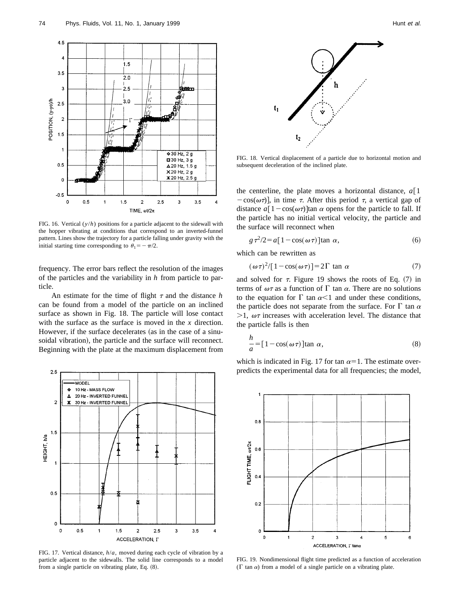

FIG. 16. Vertical (*y*/*h*) positions for a particle adjacent to the sidewall with the hopper vibrating at conditions that correspond to an inverted-funnel pattern. Lines show the trajectory for a particle falling under gravity with the initial starting time corresponding to  $\theta_1 = -\pi/2$ .

frequency. The error bars reflect the resolution of the images of the particles and the variability in *h* from particle to particle.

An estimate for the time of flight  $\tau$  and the distance *h* can be found from a model of the particle on an inclined surface as shown in Fig. 18. The particle will lose contact with the surface as the surface is moved in the *x* direction. However, if the surface decelerates (as in the case of a sinusoidal vibration), the particle and the surface will reconnect. Beginning with the plate at the maximum displacement from



FIG. 17. Vertical distance, *h*/*a*, moved during each cycle of vibration by a particle adjacent to the sidewalls. The solid line corresponds to a model from a single particle on vibrating plate, Eq.  $(8)$ .



FIG. 18. Vertical displacement of a particle due to horizontal motion and subsequent deceleration of the inclined plate.

the centerline, the plate moves a horizontal distance,  $a \upharpoonright 1$  $-cos(\omega \tau)$ , in time  $\tau$ . After this period  $\tau$ , a vertical gap of distance  $a[1-\cos(\omega \tau)]\tan \alpha$  opens for the particle to fall. If the particle has no initial vertical velocity, the particle and the surface will reconnect when

$$
g\,\tau^2/2 = a\left[1 - \cos(\omega\,\tau)\right] \tan\,\alpha,\tag{6}
$$

which can be rewritten as

$$
(\omega \tau)^2 / [1 - \cos(\omega \tau)] = 2\Gamma \tan \alpha \tag{7}
$$

and solved for  $\tau$ . Figure 19 shows the roots of Eq. (7) in terms of  $\omega\tau$  as a function of  $\Gamma$  tan  $\alpha$ . There are no solutions to the equation for  $\Gamma$  tan  $\alpha$ <1 and under these conditions, the particle does not separate from the surface. For  $\Gamma$  tan  $\alpha$  $>1$ ,  $\omega\tau$  increases with acceleration level. The distance that the particle falls is then

$$
\frac{h}{a} = [1 - \cos(\omega \tau)] \tan \alpha,
$$
\n(8)

which is indicated in Fig. 17 for tan  $\alpha=1$ . The estimate overpredicts the experimental data for all frequencies; the model,



FIG. 19. Nondimensional flight time predicted as a function of acceleration ( $\Gamma$  tan  $\alpha$ ) from a model of a single particle on a vibrating plate.